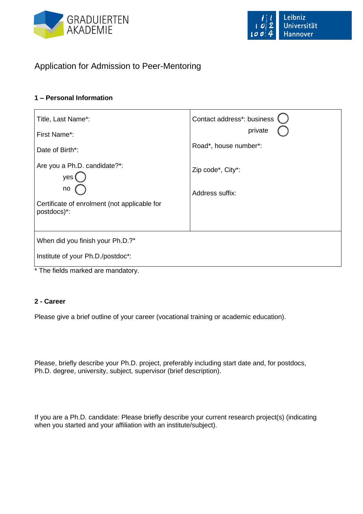

# Application for Admission to Peer-Mentoring

## **1 – Personal Information**

| Title, Last Name*:<br>First Name*:                                | Contact address*: business<br>private |
|-------------------------------------------------------------------|---------------------------------------|
| Date of Birth*:                                                   | Road*, house number*:                 |
| Are you a Ph.D. candidate?*:<br>yes                               | Zip code*, City*:                     |
| no<br>Certificate of enrolment (not applicable for<br>postdocs)*: | Address suffix:                       |
|                                                                   |                                       |
| When did you finish your Ph.D.?*                                  |                                       |
| Institute of your Ph.D./postdoc*:                                 |                                       |
| * The fields marked are mandatory                                 |                                       |

## The fields marked are mandatory.

#### **2 - Career**

Please give a brief outline of your career (vocational training or academic education).

Please, briefly describe your Ph.D. project, preferably including start date and, for postdocs, Ph.D. degree, university, subject, supervisor (brief description).

If you are a Ph.D. candidate: Please briefly describe your current research project(s) (indicating when you started and your affiliation with an institute/subject).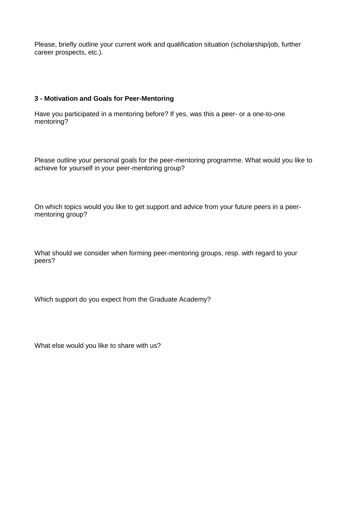Please, briefly outline your current work and qualification situation (scholarship/job, further career prospects, etc.).

#### **3 - Motivation and Goals for Peer-Mentoring**

Have you participated in a mentoring before? If yes, was this a peer- or a one-to-one mentoring?

Please outline your personal goals for the peer-mentoring programme. What would you like to achieve for yourself in your peer-mentoring group?

On which topics would you like to get support and advice from your future peers in a peermentoring group?

What should we consider when forming peer-mentoring groups, resp. with regard to your peers?

Which support do you expect from the Graduate Academy?

What else would you like to share with us?